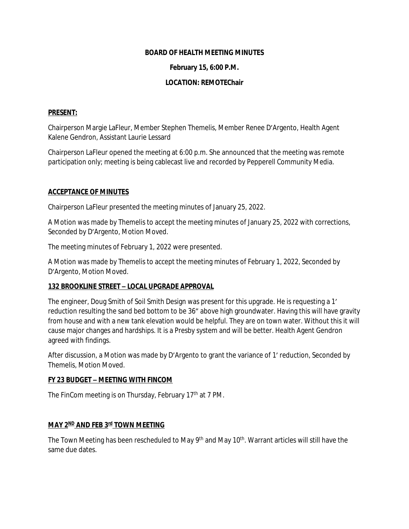#### **BOARD OF HEALTH MEETING MINUTES**

#### **February 15, 6:00 P.M.**

## **LOCATION: REMOTEChair**

## **PRESENT:**

Chairperson Margie LaFleur, Member Stephen Themelis, Member Renee D'Argento, Health Agent Kalene Gendron, Assistant Laurie Lessard

Chairperson LaFleur opened the meeting at 6:00 p.m. She announced that the meeting was remote participation only; meeting is being cablecast live and recorded by Pepperell Community Media.

#### **ACCEPTANCE OF MINUTES**

Chairperson LaFleur presented the meeting minutes of January 25, 2022.

A Motion was made by Themelis to accept the meeting minutes of January 25, 2022 with corrections, Seconded by D'Argento, Motion Moved.

The meeting minutes of February 1, 2022 were presented.

A Motion was made by Themelis to accept the meeting minutes of February 1, 2022, Seconded by D'Argento, Motion Moved.

## **132 BROOKLINE STREET – LOCAL UPGRADE APPROVAL**

The engineer, Doug Smith of Soil Smith Design was present for this upgrade. He is requesting a 1' reduction resulting the sand bed bottom to be 36" above high groundwater. Having this will have gravity from house and with a new tank elevation would be helpful. They are on town water. Without this it will cause major changes and hardships. It is a Presby system and will be better. Health Agent Gendron agreed with findings.

After discussion, a Motion was made by D'Argento to grant the variance of 1' reduction, Seconded by Themelis, Motion Moved.

## **FY 23 BUDGET – MEETING WITH FINCOM**

The FinCom meeting is on Thursday, February 17<sup>th</sup> at 7 PM.

## **MAY 2ND AND FEB 3rd TOWN MEETING**

The Town Meeting has been rescheduled to May 9<sup>th</sup> and May 10<sup>th</sup>. Warrant articles will still have the same due dates.